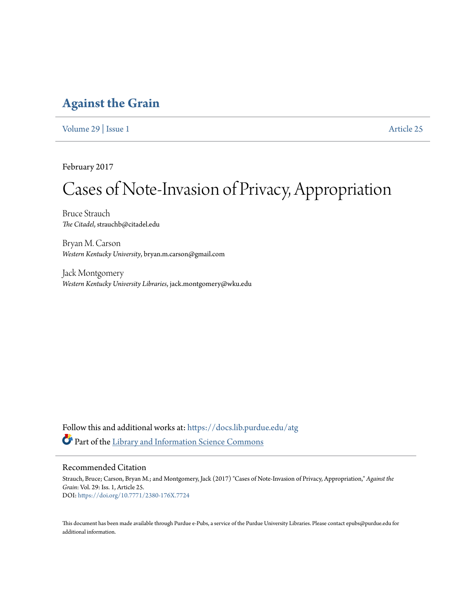### **[Against the Grain](https://docs.lib.purdue.edu/atg?utm_source=docs.lib.purdue.edu%2Fatg%2Fvol29%2Fiss1%2F25&utm_medium=PDF&utm_campaign=PDFCoverPages)**

[Volume 29](https://docs.lib.purdue.edu/atg/vol29?utm_source=docs.lib.purdue.edu%2Fatg%2Fvol29%2Fiss1%2F25&utm_medium=PDF&utm_campaign=PDFCoverPages) | [Issue 1](https://docs.lib.purdue.edu/atg/vol29/iss1?utm_source=docs.lib.purdue.edu%2Fatg%2Fvol29%2Fiss1%2F25&utm_medium=PDF&utm_campaign=PDFCoverPages) [Article 25](https://docs.lib.purdue.edu/atg/vol29/iss1/25?utm_source=docs.lib.purdue.edu%2Fatg%2Fvol29%2Fiss1%2F25&utm_medium=PDF&utm_campaign=PDFCoverPages)

February 2017

## Cases of Note-Invasion of Privacy, Appropriation

Bruce Strauch *The Citadel*, strauchb@citadel.edu

Bryan M. Carson *Western Kentucky University*, bryan.m.carson@gmail.com

Jack Montgomery *Western Kentucky University Libraries*, jack.montgomery@wku.edu

Follow this and additional works at: [https://docs.lib.purdue.edu/atg](https://docs.lib.purdue.edu/atg?utm_source=docs.lib.purdue.edu%2Fatg%2Fvol29%2Fiss1%2F25&utm_medium=PDF&utm_campaign=PDFCoverPages) Part of the [Library and Information Science Commons](http://network.bepress.com/hgg/discipline/1018?utm_source=docs.lib.purdue.edu%2Fatg%2Fvol29%2Fiss1%2F25&utm_medium=PDF&utm_campaign=PDFCoverPages)

### Recommended Citation

Strauch, Bruce; Carson, Bryan M.; and Montgomery, Jack (2017) "Cases of Note-Invasion of Privacy, Appropriation," *Against the Grain*: Vol. 29: Iss. 1, Article 25. DOI: <https://doi.org/10.7771/2380-176X.7724>

This document has been made available through Purdue e-Pubs, a service of the Purdue University Libraries. Please contact epubs@purdue.edu for additional information.